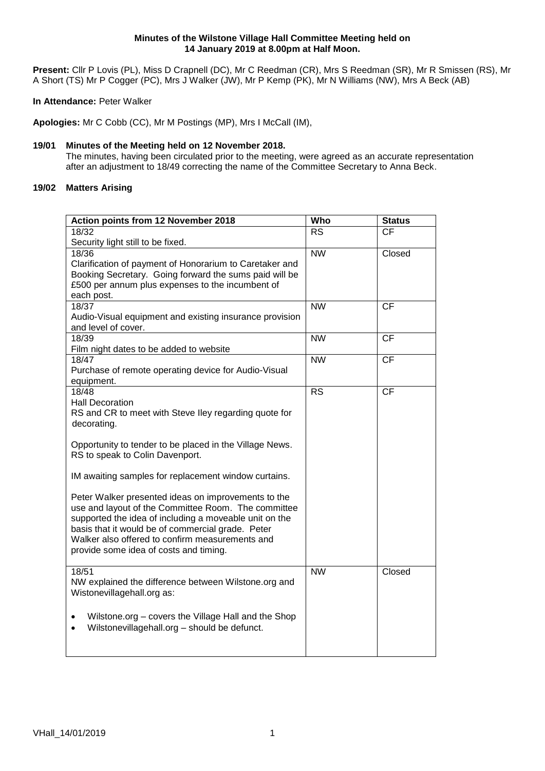**Present:** Cllr P Lovis (PL), Miss D Crapnell (DC), Mr C Reedman (CR), Mrs S Reedman (SR), Mr R Smissen (RS), Mr A Short (TS) Mr P Cogger (PC), Mrs J Walker (JW), Mr P Kemp (PK), Mr N Williams (NW), Mrs A Beck (AB)

# **In Attendance:** Peter Walker

**Apologies:** Mr C Cobb (CC), Mr M Postings (MP), Mrs I McCall (IM),

# **19/01 Minutes of the Meeting held on 12 November 2018.**

The minutes, having been circulated prior to the meeting, were agreed as an accurate representation after an adjustment to 18/49 correcting the name of the Committee Secretary to Anna Beck.

# **19/02 Matters Arising**

| Action points from 12 November 2018                                                                                                                                  | Who                    | <b>Status</b>   |
|----------------------------------------------------------------------------------------------------------------------------------------------------------------------|------------------------|-----------------|
| 18/32                                                                                                                                                                | <b>RS</b>              | <b>CF</b>       |
| Security light still to be fixed.                                                                                                                                    |                        |                 |
| 18/36<br>Clarification of payment of Honorarium to Caretaker and<br>Booking Secretary. Going forward the sums paid will be                                           | $\overline{\text{NW}}$ | Closed          |
| £500 per annum plus expenses to the incumbent of<br>each post.                                                                                                       |                        |                 |
| 18/37                                                                                                                                                                | <b>NW</b>              | <b>CF</b>       |
| Audio-Visual equipment and existing insurance provision<br>and level of cover.                                                                                       |                        |                 |
| 18/39                                                                                                                                                                | $\overline{\text{NW}}$ | $\overline{CF}$ |
| Film night dates to be added to website                                                                                                                              |                        |                 |
| 18/47                                                                                                                                                                | <b>NW</b>              | CF              |
| Purchase of remote operating device for Audio-Visual<br>equipment.                                                                                                   |                        |                 |
| 18/48                                                                                                                                                                | <b>RS</b>              | CF              |
| <b>Hall Decoration</b>                                                                                                                                               |                        |                 |
| RS and CR to meet with Steve Iley regarding quote for                                                                                                                |                        |                 |
| decorating.                                                                                                                                                          |                        |                 |
|                                                                                                                                                                      |                        |                 |
| Opportunity to tender to be placed in the Village News.<br>RS to speak to Colin Davenport.                                                                           |                        |                 |
| IM awaiting samples for replacement window curtains.                                                                                                                 |                        |                 |
| Peter Walker presented ideas on improvements to the<br>use and layout of the Committee Room. The committee<br>supported the idea of including a moveable unit on the |                        |                 |
| basis that it would be of commercial grade. Peter<br>Walker also offered to confirm measurements and<br>provide some idea of costs and timing.                       |                        |                 |
|                                                                                                                                                                      |                        |                 |
| 18/51<br>NW explained the difference between Wilstone.org and<br>Wistonevillagehall.org as:                                                                          | <b>NW</b>              | Closed          |
| Wilstone.org - covers the Village Hall and the Shop<br>Wilstonevillagehall.org - should be defunct.                                                                  |                        |                 |
|                                                                                                                                                                      |                        |                 |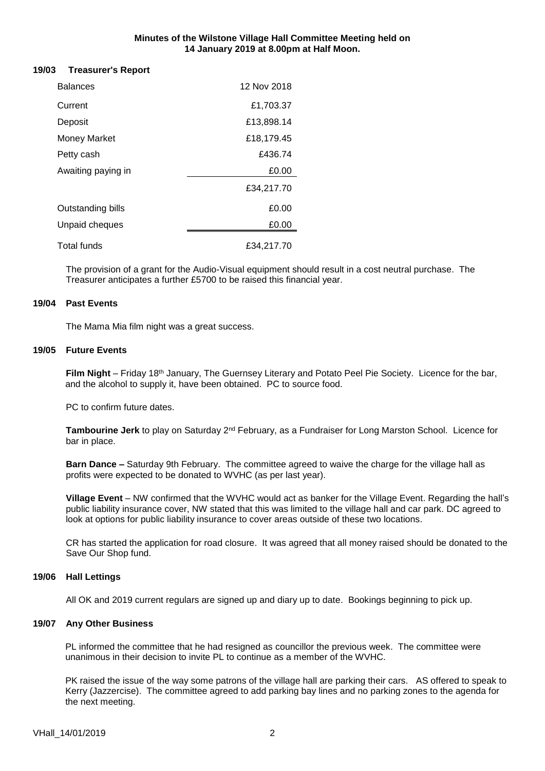#### **19/03 Treasurer's Report**

| <b>Balances</b>     | 12 Nov 2018 |
|---------------------|-------------|
| Current             | £1,703.37   |
| Deposit             | £13,898.14  |
| <b>Money Market</b> | £18,179.45  |
| Petty cash          | £436.74     |
| Awaiting paying in  | £0.00       |
|                     | £34,217.70  |
| Outstanding bills   | £0.00       |
| Unpaid cheques      | £0.00       |
| <b>Total funds</b>  | £34,217.70  |

The provision of a grant for the Audio-Visual equipment should result in a cost neutral purchase. The Treasurer anticipates a further £5700 to be raised this financial year.

#### **19/04 Past Events**

The Mama Mia film night was a great success.

#### **19/05 Future Events**

**Film Night** – Friday 18th January, The Guernsey Literary and Potato Peel Pie Society. Licence for the bar, and the alcohol to supply it, have been obtained. PC to source food.

PC to confirm future dates.

**Tambourine Jerk** to play on Saturday 2nd February, as a Fundraiser for Long Marston School. Licence for bar in place.

**Barn Dance –** Saturday 9th February. The committee agreed to waive the charge for the village hall as profits were expected to be donated to WVHC (as per last year).

**Village Event** – NW confirmed that the WVHC would act as banker for the Village Event. Regarding the hall's public liability insurance cover, NW stated that this was limited to the village hall and car park. DC agreed to look at options for public liability insurance to cover areas outside of these two locations.

CR has started the application for road closure. It was agreed that all money raised should be donated to the Save Our Shop fund.

# **19/06 Hall Lettings**

All OK and 2019 current regulars are signed up and diary up to date. Bookings beginning to pick up.

#### **19/07 Any Other Business**

PL informed the committee that he had resigned as councillor the previous week. The committee were unanimous in their decision to invite PL to continue as a member of the WVHC.

PK raised the issue of the way some patrons of the village hall are parking their cars. AS offered to speak to Kerry (Jazzercise). The committee agreed to add parking bay lines and no parking zones to the agenda for the next meeting.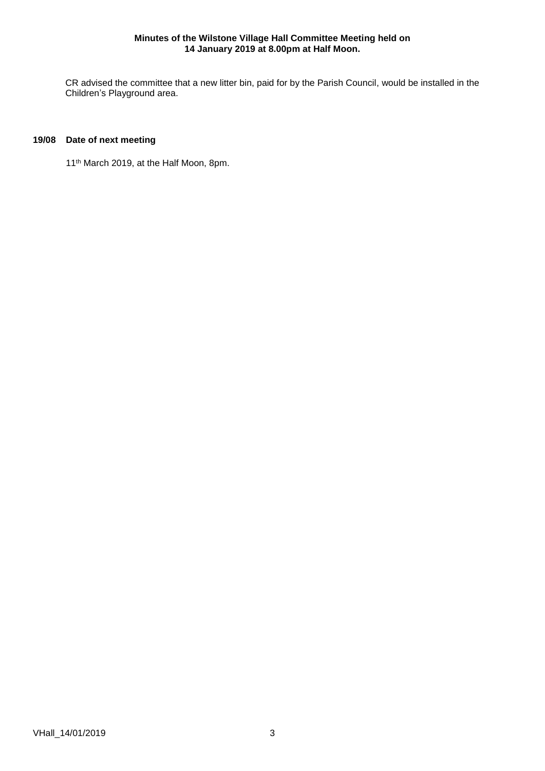CR advised the committee that a new litter bin, paid for by the Parish Council, would be installed in the Children's Playground area.

# **19/08 Date of next meeting**

11 th March 2019, at the Half Moon, 8pm.